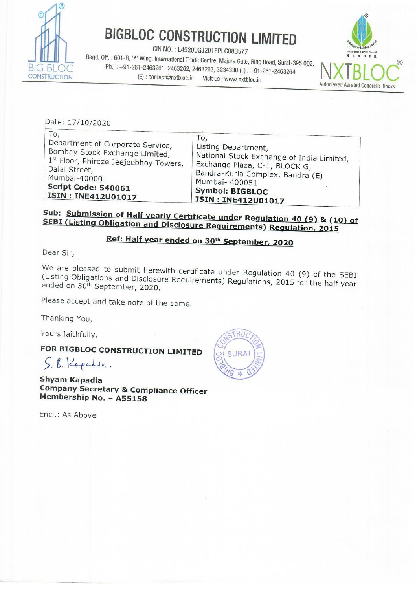

BIGBLOC CONSTRUCTION LIMITED<br>
CIN NO. : L45200GJ2015PLC083577<br>
Regd. Off. : 601-B, 'A' Wing, International Trade Centre, Majura Gate, Ring Road, Surat-395 002.  $(Bh.): +91-261-2463261, 2463262, 2463263, 3234330 (F): +91-261-2463264$ <br>(E) : contact@nxtbloc.in Visit us : www.nxtbloc.in Autoclaved Aerated Concrete Blocks



|                                                                                                                                                                                                   | <b>BIGBLOC CONSTRUCTION LIMITED</b><br>CIN NO.: L45200GJ2015PLC083577<br>Regd. Off.: 601-B, 'A' Wing, International Trade Centre, Majura Gate, Ring Road, Surat-395 002.<br>(Ph.): +91-261-2463261, 2463262, 2463263, 3234330 (F): +91-261-2463264 |                           |
|---------------------------------------------------------------------------------------------------------------------------------------------------------------------------------------------------|----------------------------------------------------------------------------------------------------------------------------------------------------------------------------------------------------------------------------------------------------|---------------------------|
| TRUCTION<br>(E): contact@nxtbloc.in                                                                                                                                                               | Visit us : www.nxtbloc.in                                                                                                                                                                                                                          | <b>Autoclaved Aerated</b> |
| Date: 17/10/2020                                                                                                                                                                                  |                                                                                                                                                                                                                                                    |                           |
| To,<br>Department of Corporate Service,<br>Bombay Stock Exchange Limited,<br>1st Floor, Phiroze Jeejeebhoy Towers,<br>Dalal Street,<br>Mumbai-400001<br>Script Code: 540061<br>ISIN: INE412U01017 | To,<br>Listing Department,<br>National Stock Exchange of India Limited,<br>Exchange Plaza, C-1, BLOCK G,<br>Bandra-Kurla Complex, Bandra (E)<br>Mumbai- 400051<br><b>Symbol: BIGBLOC</b><br>ISIN: INE412U01017                                     |                           |

## **SEBI** Sub: (Listing Submission of Half yearly Certificate under Regulation 40 (9) & (10) of<br>(Listing Obligation and Disclosure Requirements) Regulation, 2015

## Ref: Half year ended on 30<sup>th</sup> September, 2020

Dear Sir,

(Listing We are pleased to submit herewith certificate under Regulation 40 (9) of the SEBI ended on Obligations and Disclosure, Corditions and Pregulation 40 (9) or the SEBI<br>n 30<sup>th</sup> September, 2020.

Please accept and take note of the same.

Thanking You,

Yours faithfully,

FOR BIGBLOC CONSTRUCTION LIMITED  $\int$ ,  $\int$ ,  $\int$   $\epsilon$  palic.

Shyam Kapadia Company Secretary & Compliance Officer Membership No. - A55158

Encl.: As Above